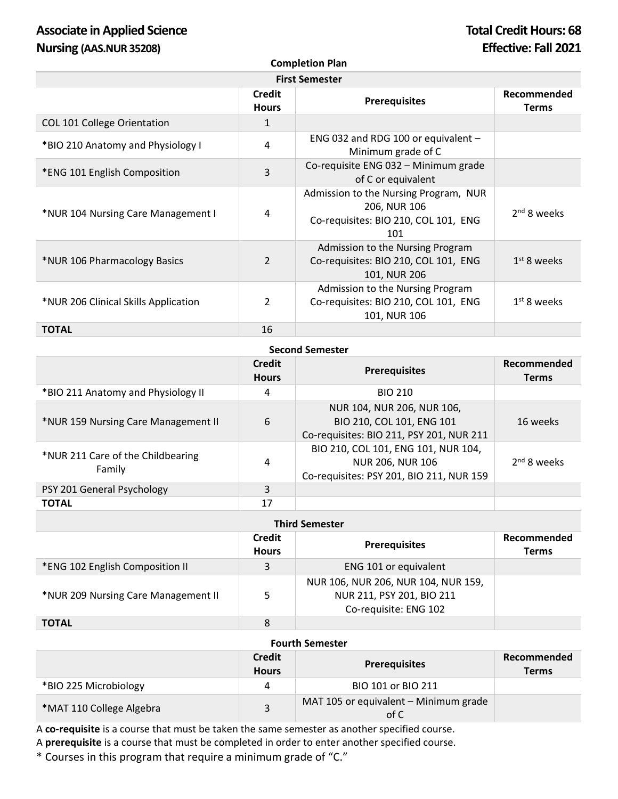# Associate in Applied Science **Total Credit Hours: 68 Nursing (AAS.NUR 35208) Effective: Fall 2021**

**Completion Plan**

| <b>First Semester</b>                |                        |                                                                                                      |                             |  |
|--------------------------------------|------------------------|------------------------------------------------------------------------------------------------------|-----------------------------|--|
|                                      | Credit<br><b>Hours</b> | <b>Prerequisites</b>                                                                                 | Recommended<br><b>Terms</b> |  |
| <b>COL 101 College Orientation</b>   | 1                      |                                                                                                      |                             |  |
| *BIO 210 Anatomy and Physiology I    | 4                      | ENG 032 and RDG 100 or equivalent -<br>Minimum grade of C                                            |                             |  |
| *ENG 101 English Composition         | 3                      | Co-requisite ENG 032 - Minimum grade<br>of C or equivalent                                           |                             |  |
| *NUR 104 Nursing Care Management I   | 4                      | Admission to the Nursing Program, NUR<br>206, NUR 106<br>Co-requisites: BIO 210, COL 101, ENG<br>101 | $2nd$ 8 weeks               |  |
| *NUR 106 Pharmacology Basics         | $\overline{2}$         | Admission to the Nursing Program<br>Co-requisites: BIO 210, COL 101, ENG<br>101, NUR 206             | $1st$ 8 weeks               |  |
| *NUR 206 Clinical Skills Application | $\overline{2}$         | Admission to the Nursing Program<br>Co-requisites: BIO 210, COL 101, ENG<br>101, NUR 106             | $1st$ 8 weeks               |  |
| <b>TOTAL</b>                         | 16                     |                                                                                                      |                             |  |

| <b>Second Semester</b>                      |                               |                                                                                                            |                             |  |
|---------------------------------------------|-------------------------------|------------------------------------------------------------------------------------------------------------|-----------------------------|--|
|                                             | <b>Credit</b><br><b>Hours</b> | <b>Prerequisites</b>                                                                                       | Recommended<br><b>Terms</b> |  |
| *BIO 211 Anatomy and Physiology II          | 4                             | <b>BIO 210</b>                                                                                             |                             |  |
| *NUR 159 Nursing Care Management II         | 6                             | NUR 104, NUR 206, NUR 106,<br>BIO 210, COL 101, ENG 101<br>Co-requisites: BIO 211, PSY 201, NUR 211        | 16 weeks                    |  |
| *NUR 211 Care of the Childbearing<br>Family | 4                             | BIO 210, COL 101, ENG 101, NUR 104,<br><b>NUR 206, NUR 106</b><br>Co-requisites: PSY 201, BIO 211, NUR 159 | $2nd$ 8 weeks               |  |
| PSY 201 General Psychology                  | 3                             |                                                                                                            |                             |  |
| <b>TOTAL</b>                                | 17                            |                                                                                                            |                             |  |

| <b>Third Semester</b>               |                               |                                                                                           |                             |  |
|-------------------------------------|-------------------------------|-------------------------------------------------------------------------------------------|-----------------------------|--|
|                                     | <b>Credit</b><br><b>Hours</b> | <b>Prerequisites</b>                                                                      | Recommended<br><b>Terms</b> |  |
| *ENG 102 English Composition II     | 3                             | ENG 101 or equivalent                                                                     |                             |  |
| *NUR 209 Nursing Care Management II |                               | NUR 106, NUR 206, NUR 104, NUR 159,<br>NUR 211, PSY 201, BIO 211<br>Co-requisite: ENG 102 |                             |  |
| <b>TOTAL</b>                        | 8                             |                                                                                           |                             |  |

### **Fourth Semester**

|                          | Credit<br><b>Hours</b> | <b>Prerequisites</b>                          | Recommended<br><b>Terms</b> |
|--------------------------|------------------------|-----------------------------------------------|-----------------------------|
| *BIO 225 Microbiology    |                        | BIO 101 or BIO 211                            |                             |
| *MAT 110 College Algebra |                        | MAT 105 or equivalent - Minimum grade<br>of C |                             |

A **co-requisite** is a course that must be taken the same semester as another specified course. A **prerequisite** is a course that must be completed in order to enter another specified course.

\* Courses in this program that require a minimum grade of "C."